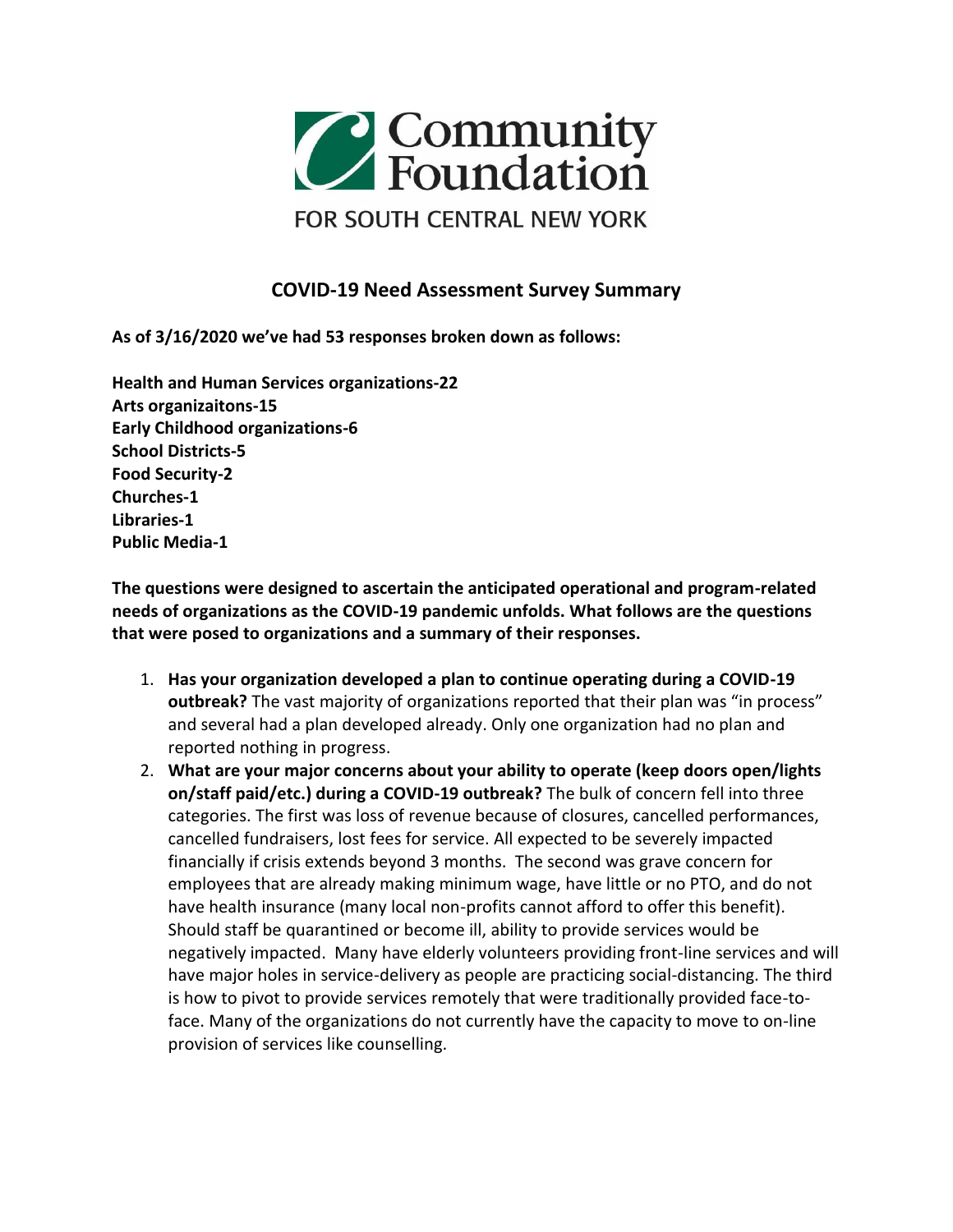

## **COVID-19 Need Assessment Survey Summary**

**As of 3/16/2020 we've had 53 responses broken down as follows:**

**Health and Human Services organizations-22 Arts organizaitons-15 Early Childhood organizations-6 School Districts-5 Food Security-2 Churches-1 Libraries-1 Public Media-1**

**The questions were designed to ascertain the anticipated operational and program-related needs of organizations as the COVID-19 pandemic unfolds. What follows are the questions that were posed to organizations and a summary of their responses.**

- 1. **Has your organization developed a plan to continue operating during a COVID-19 outbreak?** The vast majority of organizations reported that their plan was "in process" and several had a plan developed already. Only one organization had no plan and reported nothing in progress.
- 2. **What are your major concerns about your ability to operate (keep doors open/lights on/staff paid/etc.) during a COVID-19 outbreak?** The bulk of concern fell into three categories. The first was loss of revenue because of closures, cancelled performances, cancelled fundraisers, lost fees for service. All expected to be severely impacted financially if crisis extends beyond 3 months. The second was grave concern for employees that are already making minimum wage, have little or no PTO, and do not have health insurance (many local non-profits cannot afford to offer this benefit). Should staff be quarantined or become ill, ability to provide services would be negatively impacted. Many have elderly volunteers providing front-line services and will have major holes in service-delivery as people are practicing social-distancing. The third is how to pivot to provide services remotely that were traditionally provided face-toface. Many of the organizations do not currently have the capacity to move to on-line provision of services like counselling.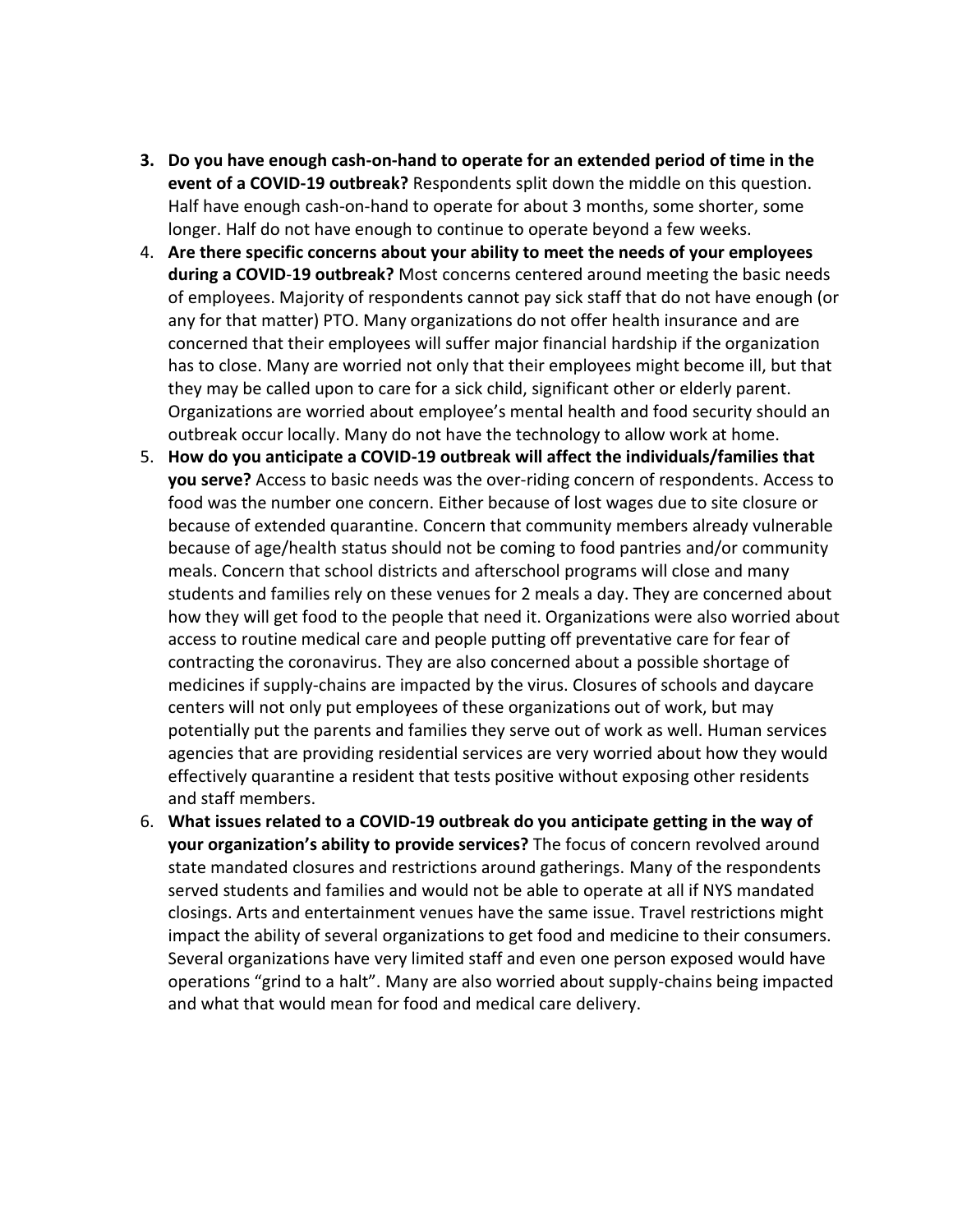- **3. Do you have enough cash-on-hand to operate for an extended period of time in the event of a COVID-19 outbreak?** Respondents split down the middle on this question. Half have enough cash-on-hand to operate for about 3 months, some shorter, some longer. Half do not have enough to continue to operate beyond a few weeks.
- 4. **Are there specific concerns about your ability to meet the needs of your employees during a COVID**-**19 outbreak?** Most concerns centered around meeting the basic needs of employees. Majority of respondents cannot pay sick staff that do not have enough (or any for that matter) PTO. Many organizations do not offer health insurance and are concerned that their employees will suffer major financial hardship if the organization has to close. Many are worried not only that their employees might become ill, but that they may be called upon to care for a sick child, significant other or elderly parent. Organizations are worried about employee's mental health and food security should an outbreak occur locally. Many do not have the technology to allow work at home.
- 5. **How do you anticipate a COVID-19 outbreak will affect the individuals/families that you serve?** Access to basic needs was the over-riding concern of respondents. Access to food was the number one concern. Either because of lost wages due to site closure or because of extended quarantine. Concern that community members already vulnerable because of age/health status should not be coming to food pantries and/or community meals. Concern that school districts and afterschool programs will close and many students and families rely on these venues for 2 meals a day. They are concerned about how they will get food to the people that need it. Organizations were also worried about access to routine medical care and people putting off preventative care for fear of contracting the coronavirus. They are also concerned about a possible shortage of medicines if supply-chains are impacted by the virus. Closures of schools and daycare centers will not only put employees of these organizations out of work, but may potentially put the parents and families they serve out of work as well. Human services agencies that are providing residential services are very worried about how they would effectively quarantine a resident that tests positive without exposing other residents and staff members.
- 6. **What issues related to a COVID-19 outbreak do you anticipate getting in the way of your organization's ability to provide services?** The focus of concern revolved around state mandated closures and restrictions around gatherings. Many of the respondents served students and families and would not be able to operate at all if NYS mandated closings. Arts and entertainment venues have the same issue. Travel restrictions might impact the ability of several organizations to get food and medicine to their consumers. Several organizations have very limited staff and even one person exposed would have operations "grind to a halt". Many are also worried about supply-chains being impacted and what that would mean for food and medical care delivery.